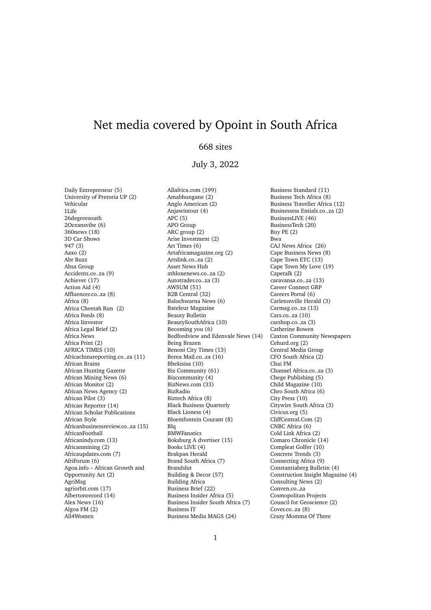## Net media covered by Opoint in South Africa

## 668 sites

## July 3, 2022

Daily Entrepreneur (5) University of Pretoria UP (2) Vehicular 1Life 26degreesouth 2Oceansvibe (6) 360news (18) 3D Car Shows 947 (3) Aaxo (2) Abr Buzz Absa Group Accidents.co..za (9) Achiever (17) Action Aid (4) Affluencer.co..za (8) Africa (8) Africa Cheetah Run (2) Africa Feeds (8) Africa Iinvestor Africa Legal Brief (2) Africa News Africa Print (2) AFRICA TIMES (10) Africachinareporting.co..za (11) African Brains African Hunting Gazette African Mining News (6) African Monitor (2) African News Agency (2) African Pilot (3) African Reporter (14) African Scholar Publications African Style Africanbusinessreview.co..za (15) AfricanFootball Africanindy.com (13) Africanmining (2) Africaupdates.com (7) AfriForum (6) Agoa.info – African Growth and Opportunity Act (2) AgriMag agriorbit.com (17) Albertonrecord (14) Alex News (16) Algoa FM (2) All4Women

Allafrica.com (199) Amabhungane (2) Anglo American (2) Anjawintour (4)  $APC(5)$ APO Group ARC group (2) Arise Investment (2) Art Times (6) Artafricamagazine.org (2) Artslink.co..za (2) Asset News Hub athlonenews.co..za (2) Autotrader.co..za (3) AWSUM (51) B2B Central (32) Balochwarna News (6) Bateleur Magazine Beauty Bulletin BeautySouthAfrica (10) Becoming you (6) Bedfordview and Edenvale News (14) Being Brazen Benoni City Times (13) Berea Mail.co..za (16) Bhekisisa (10) Biz Community (61) Bizcommunity (4) BizNews.com (33) BizRadio Biztech Africa (8) Black Business Quarterly Black Lioness (4) Bloemfontein Courant (8) Blq **BMWFanatics** Boksburg A dvertiser (15) Books LIVE (4) Brakpan Herald Brand South Africa (7) Brandslut Building & Decor (57) Building Africa Business Brief (22) Business Insider Africa (5) Business Insider South Africa (7) Business IT Business Media MAGS (24)

Business Standard (11) Business Tech Africa (8) Business Traveller Africa (12) Businessess Entials.co..za (2) BusinessLIVE (46) BusinessTech (20) Buy PE (2) Bwa CAJ News Africa (26) Cape Business News (8) Cape Town ETC (13) Cape Town My Love (19) Capetalk (2) caravansa.co..za (13) Career Connect GRP Careers Portal (6) Carletonville Herald (3) Carmag.co..za (13) Cars.co..za (10) carshop.co..za (3) Catherine Bowen Caxton Community Newspapers Cehurd.org (2) Central Media Group CFO South Africa (2) Chai FM Channel Africa.co..za (3) Chege Publishing (5) Child Magazine (10) Chro South Africa (6) City Press (10) Citywire South Africa (3) Civicus.org (5) CliffCentral.Com (2) CNBC Africa (6) Cold Link Africa (2) Comaro Chronicle (14) Compleat Golfer (10) Concrete Trends (3) Connecting Africa (9) Constantiaberg Bulletin (4) Construction Insight Magazine (4) Consulting News (2) Conven.co..za Cosmopolitan Projects Council for Geoscience (2) Cover.co..za (8) Crazy Momma Of Three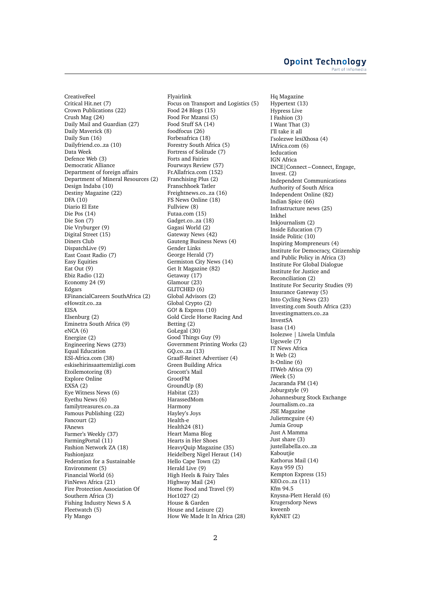## **Opoint Technology** Part of Infomed

CreativeFeel Critical Hit.net (7) Crown Publications (22) Crush Mag (24) Daily Mail and Guardian (27) Daily Maverick (8) Daily Sun (16) Dailyfriend.co..za (10) Data Week Defence Web (3) Democratic Alliance Department of foreign affairs Department of Mineral Resources (2) Design Indaba (10) Destiny Magazine (22) DFA (10) Diario El Este Die Pos (14) Die Son (7) Die Vryburger (9) Digital Street (15) Diners Club DispatchLive (9) East Coast Radio (7) Easy Equities Eat Out (9) Ebiz Radio (12) Economy 24 (9) Edgars EFinancialCareers SouthAfrica (2) eHowzit.co..za EISA Elsenburg (2) Eminetra South Africa (9) eNCA (6) Energize (2) Engineering News (273) Equal Education ESI-Africa.com (38) eskisehirinsaattemizligi.com Etoilemotoring (8) Explore Online EXSA (2) Eye Witness News (6) Eyethu News (6) familytreasures.co..za Famous Publishing (22) Fancourt (2) FAnews Farmer's Weekly (37) FarmingPortal (11) Fashion Network ZA (18) Fashionjazz Federation for a Sustainable Environment (5) Financial World (6) FinNews Africa (21) Fire Protection Association Of Southern Africa (3) Fishing Industry News S A Fleetwatch (5) Fly Mango

Flyairlink Focus on Transport and Logistics (5) Food 24 Blogs (15) Food For Mzansi (5) Food Stuff SA (14) foodfocus (26) Forbesafrica (18) Forestry South Africa (5) Fortress of Solitude (7) Forts and Fairies Fourways Review (57) Fr.Allafrica.com (152) Franchising Plus (2) Franschhoek Tatler Freightnews.co..za (16) FS News Online (18) Fullview (8) Futaa.com (15) Gadget.co..za (18) Gagasi World (2) Gateway News (42) Gauteng Business News (4) Gender Links George Herald (7) Germiston City News (14) Get It Magazine (82) Getaway (17) Glamour (23) GLITCHED (6) Global Advisors (2) Global Crypto (2) GO! & Express (10) Gold Circle Horse Racing And Betting (2) GoLegal (30) Good Things Guy (9) Government Printing Works (2) GQ.co..za (13) Graaff-Reinet Advertiser (4) Green Building Africa Grocott's Mail GrootFM GroundUp (8) Habitat  $(23)$ HarassedMom Harmony Hayley's Joys Health-e Health24 (81) Heart Mama Blog Hearts in Her Shoes HeavyQuip Magazine (35) Heidelberg Nigel Heraut (14) Hello Cape Town (2) Herald Live (9) High Heels & Fairy Tales Highway Mail (24) Home Food and Travel (9) Hot1027 (2) House & Garden House and Leisure (2) How We Made It In Africa (28)

Hq Magazine Hypertext (13) Hypress Live I Fashion (3) I Want That (3) I'll take it all I'solezwe lesiXhosa (4) IAfrica.com (6) Ieducation IGN Africa INCE|Connect – Connect, Engage, Invest.  $(2)$ Independent Communications Authority of South Africa Independent Online (82) Indian Spice (66) Infrastructure news (25) Inkhel Inkjournalism (2) Inside Education (7) Inside Politic (10) Inspiring Mompreneurs (4) Institute for Democracy, Citizenship and Public Policy in Africa (3) Institute For Global Dialogue Institute for Justice and Reconciliation (2) Institute For Security Studies (9) Insurance Gateway (5) Into Cycling News (23) Investing.com South Africa (23) Investingmatters.co..za InvestSA Isasa (14) Isolezwe | Liwela Umfula Ugcwele (7) IT News Africa It Web (2) It-Online (6) ITWeb Africa (9) iWeek (5) Jacaranda FM (14) Joburgstyle (9) Johannesburg Stock Exchange Journalism.co..za JSE Magazine Julietmcguire (4) Jumia Group Just A Mamma Just share (3) justellabella.co..za Kaboutjie Kathorus Mail (14) Kaya 959 (5) Kempton Express (15) KEO.co..za (11) Kfm 94.5 Knysna-Plett Herald (6) Krugersdorp News kweenb KykNET (2)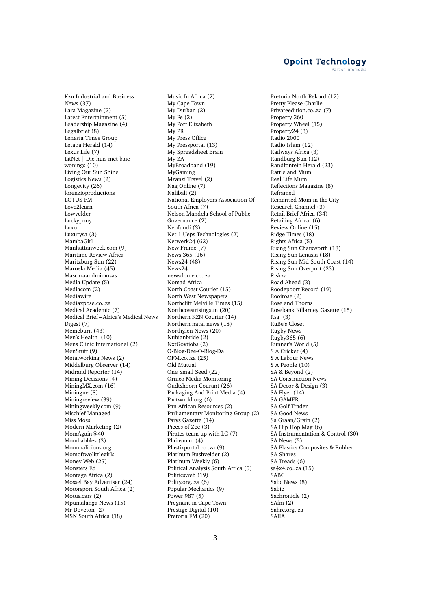Kzn Industrial and Business News (37) Lara Magazine (2) Latest Entertainment (5) Leadership Magazine (4) Legalbrief (8) Lenasia Times Group Letaba Herald (14) Lexus Life (7) LitNet | Die huis met baie wonings (10) Living Our Sun Shine Logistics News (2) Longevity (26) lorenzioproductions LOTUS FM Love2learn Lowvelder Luckypony Luxo Luxurysa (3) MambaGirl Manhattanweek.com (9) Maritime Review Africa Maritzburg Sun (22) Maroela Media (45) Mascaraandmimosas Media Update (5) Mediacom (2) Mediawire Mediaxpose.co..za Medical Academic (7) Medical Brief – Africa's Medical News Digest (7) Memeburn (43) Men's Health (10) Mens Clinic International (2) MenStuff (9) Metalworking News (2) Middelburg Observer (14) Midrand Reporter (14) Mining Decisions (4) MiningMX.com (16) Miningne (8) Miningreview (39) Miningweekly.com (9) Mischief Managed Miss Moss Modern Marketing (2) MomAgain@40 Mombabbles (3) Mommalicious.org Momoftwolittlegirls Money Web (25) Monsters Ed Montage Africa (2) Mossel Bay Advertiser (24) Motorsport South Africa (2) Motus.cars (2) Mpumalanga News (15) Mr Doveton (2) MSN South Africa (18)

Music In Africa (2) My Cape Town My Durban (2) My Pe (2) My Port Elizabeth My PR My Press Office My Pressportal (13) My Spreadsheet Brain My ZA MyBroadband (19) MyGaming Mzanzi Travel (2) Nag Online (7) Nalibali (2) National Employers Association Of South Africa (7) Nelson Mandela School of Public Governance (2) Neofundi (3) Net 1 Ueps Technologies (2) Netwerk24 (62) New Frame (7) News 365 (16) News24 (48) News24 newsdome.co..za Nomad Africa North Coast Courier (15) North West Newspapers Northcliff Melville Times (15) Northcoastrisingsun (20) Northern KZN Courier (14) Northern natal news (18) Northglen News (20) Nubianbride (2) NxtGovtjobs (2) O-Blog-Dee-O-Blog-Da OFM.co..za (25) Old Mutual One Small Seed (22) Ornico Media Monitoring Oudtshoorn Courant (26) Packaging And Print Media (4) Pactworld.org (6) Pan African Resources (2) Parliamentary Monitoring Group (2) Parys Gazette (14) Pieces of Zee (3) Pirates team up with LG (7) Plainsman (4) Plastixportal.co..za (9) Platinum Bushvelder (2) Platinum Weekly (6) Political Analysis South Africa (5) Politicsweb (19) Polity.org..za (6) Popular Mechanics (9) Power 987 (5) Pregnant in Cape Town Prestige Digital (10) Pretoria FM (20)

Pretoria North Rekord (12) Pretty Please Charlie Privateedition.co..za (7) Property 360 Property Wheel (15) Property24 (3) Radio 2000 Radio Islam (12) Railways Africa (3) Randburg Sun (12) Randfontein Herald (23) Rattle and Mum Real Life Mum Reflections Magazine (8) Reframed Remarried Mom in the City Research Channel (3) Retail Brief Africa (34) Retailing Africa (6) Review Online (15) Ridge Times (18) Rights Africa (5) Rising Sun Chatsworth (18) Rising Sun Lenasia (18) Rising Sun Mid South Coast (14) Rising Sun Overport (23) Riskza Road Ahead (3) Roodepoort Record (19) Rooirose (2) Rose and Thorns Rosebank Killarney Gazette (15)  $Rsg(3)$ RuBe's Closet Rugby News Rugby365 (6) Runner's World (5) S A Cricket (4) S A Labour News S A People (10) SA & Beyond (2) SA Construction News SA Decor & Design (3) SA Flyer (14) SA GAMER SA Golf Trader SA Good News Sa Graan/Grain (2) SA Hip Hop Mag (6) SA Instrumentation & Control (30) SA News (5) SA Plastics Composites & Rubber SA Shares SA Treads (6) sa4x4.co..za (15) SABC Sabc News (8) Sabic Sachronicle (2) SAfm (2) Sahrc.org..za SAIIA